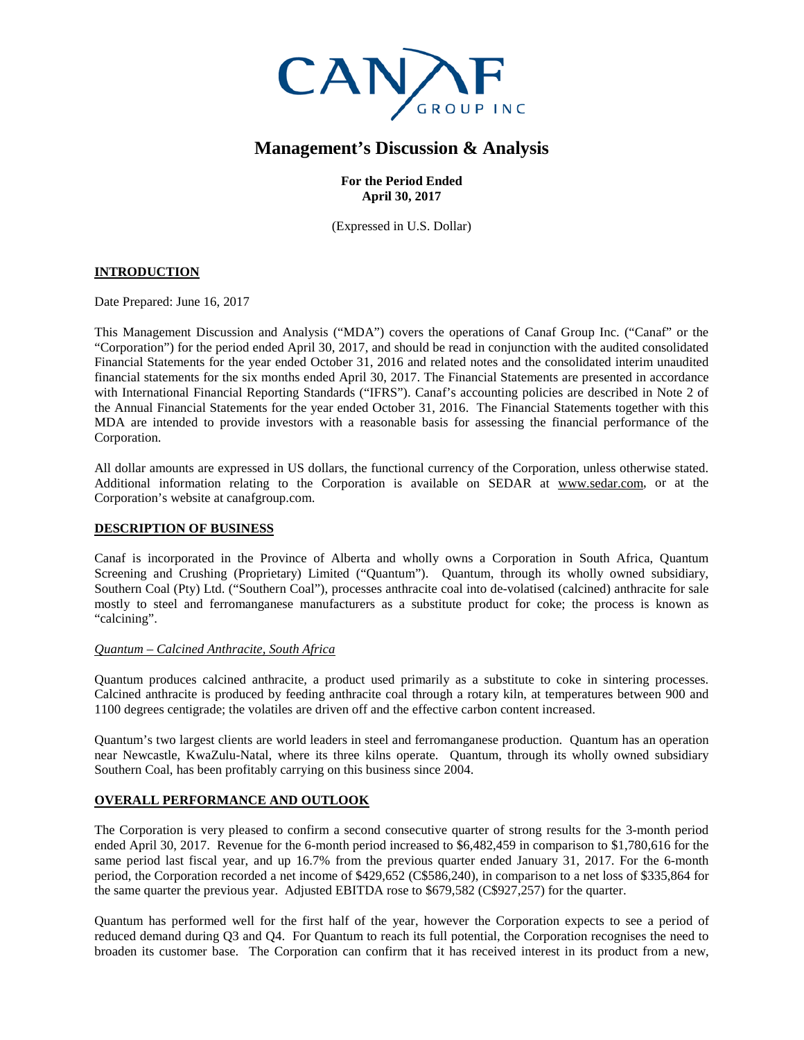

# **Management's Discussion & Analysis**

**For the Period Ended April 30, 2017**

(Expressed in U.S. Dollar)

# **INTRODUCTION**

Date Prepared: June 16, 2017

This Management Discussion and Analysis ("MDA") covers the operations of Canaf Group Inc. ("Canaf" or the "Corporation") for the period ended April 30, 2017, and should be read in conjunction with the audited consolidated Financial Statements for the year ended October 31, 2016 and related notes and the consolidated interim unaudited financial statements for the six months ended April 30, 2017. The Financial Statements are presented in accordance with International Financial Reporting Standards ("IFRS"). Canaf's accounting policies are described in Note 2 of the Annual Financial Statements for the year ended October 31, 2016. The Financial Statements together with this MDA are intended to provide investors with a reasonable basis for assessing the financial performance of the Corporation.

All dollar amounts are expressed in US dollars, the functional currency of the Corporation, unless otherwise stated. Additional information relating to the Corporation is available on SEDAR at [www.sedar.com,](http://www.sedar.com/) or at the Corporation's website at canafgroup.com.

## **DESCRIPTION OF BUSINESS**

Canaf is incorporated in the Province of Alberta and wholly owns a Corporation in South Africa, Quantum Screening and Crushing (Proprietary) Limited ("Quantum"). Quantum, through its wholly owned subsidiary, Southern Coal (Pty) Ltd. ("Southern Coal"), processes anthracite coal into de-volatised (calcined) anthracite for sale mostly to steel and ferromanganese manufacturers as a substitute product for coke; the process is known as "calcining".

#### *Quantum – Calcined Anthracite, South Africa*

Quantum produces calcined anthracite, a product used primarily as a substitute to coke in sintering processes. Calcined anthracite is produced by feeding anthracite coal through a rotary kiln, at temperatures between 900 and 1100 degrees centigrade; the volatiles are driven off and the effective carbon content increased.

Quantum's two largest clients are world leaders in steel and ferromanganese production. Quantum has an operation near Newcastle, KwaZulu-Natal, where its three kilns operate. Quantum, through its wholly owned subsidiary Southern Coal, has been profitably carrying on this business since 2004.

## **OVERALL PERFORMANCE AND OUTLOOK**

The Corporation is very pleased to confirm a second consecutive quarter of strong results for the 3-month period ended April 30, 2017. Revenue for the 6-month period increased to \$6,482,459 in comparison to \$1,780,616 for the same period last fiscal year, and up 16.7% from the previous quarter ended January 31, 2017. For the 6-month period, the Corporation recorded a net income of \$429,652 (C\$586,240), in comparison to a net loss of \$335,864 for the same quarter the previous year. Adjusted EBITDA rose to \$679,582 (C\$927,257) for the quarter.

Quantum has performed well for the first half of the year, however the Corporation expects to see a period of reduced demand during Q3 and Q4. For Quantum to reach its full potential, the Corporation recognises the need to broaden its customer base. The Corporation can confirm that it has received interest in its product from a new,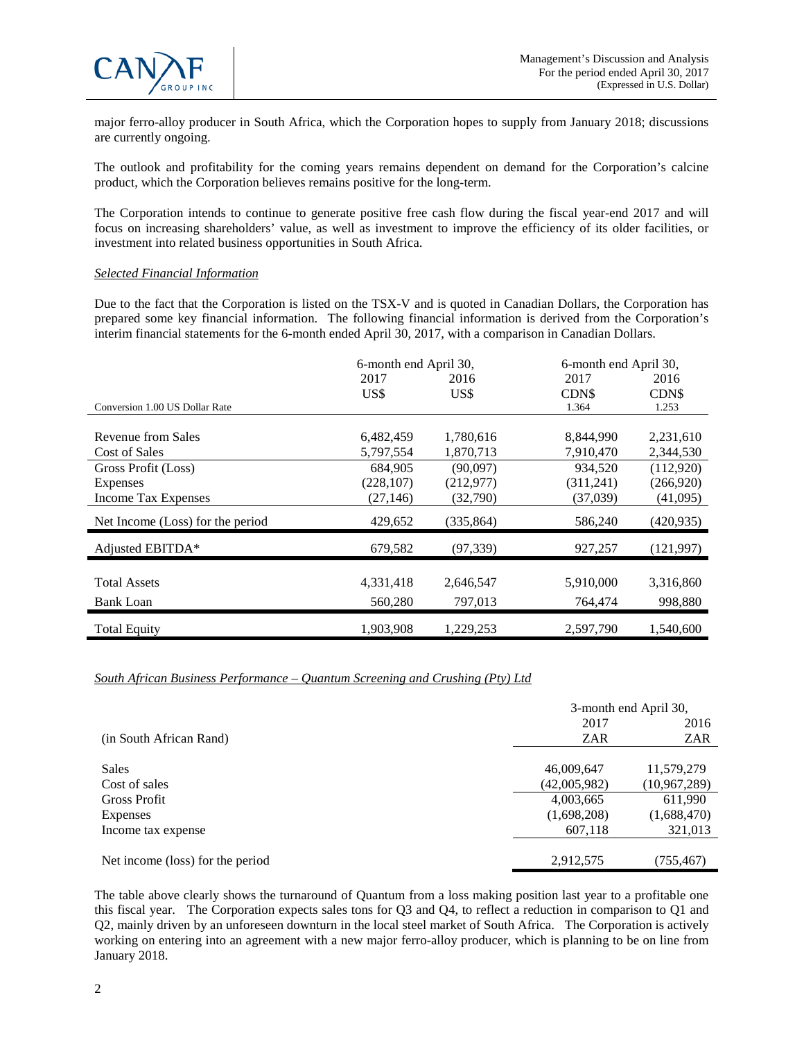

major ferro-alloy producer in South Africa, which the Corporation hopes to supply from January 2018; discussions are currently ongoing.

The outlook and profitability for the coming years remains dependent on demand for the Corporation's calcine product, which the Corporation believes remains positive for the long-term.

The Corporation intends to continue to generate positive free cash flow during the fiscal year-end 2017 and will focus on increasing shareholders' value, as well as investment to improve the efficiency of its older facilities, or investment into related business opportunities in South Africa.

#### *Selected Financial Information*

Due to the fact that the Corporation is listed on the TSX-V and is quoted in Canadian Dollars, the Corporation has prepared some key financial information. The following financial information is derived from the Corporation's interim financial statements for the 6-month ended April 30, 2017, with a comparison in Canadian Dollars.

|                                  | 6-month end April 30, |            | 6-month end April 30, |            |
|----------------------------------|-----------------------|------------|-----------------------|------------|
|                                  | 2017                  | 2016       | 2017                  | 2016       |
|                                  | US\$                  | US\$       | CDN\$                 | CDN\$      |
| Conversion 1.00 US Dollar Rate   |                       |            | 1.364                 | 1.253      |
|                                  |                       |            |                       |            |
| Revenue from Sales               | 6,482,459             | 1,780,616  | 8,844,990             | 2,231,610  |
| Cost of Sales                    | 5,797,554             | 1,870,713  | 7,910,470             | 2,344,530  |
| Gross Profit (Loss)              | 684,905               | (90,097)   | 934,520               | (112,920)  |
| Expenses                         | (228, 107)            | (212,977)  | (311,241)             | (266,920)  |
| Income Tax Expenses              | (27, 146)             | (32,790)   | (37,039)              | (41,095)   |
| Net Income (Loss) for the period | 429,652               | (335, 864) | 586,240               | (420, 935) |
| Adjusted EBITDA*                 | 679,582               | (97, 339)  | 927,257               | (121, 997) |
|                                  |                       |            |                       |            |
| <b>Total Assets</b>              | 4,331,418             | 2,646,547  | 5,910,000             | 3,316,860  |
| <b>Bank Loan</b>                 | 560,280               | 797,013    | 764,474               | 998,880    |
| <b>Total Equity</b>              | 1,903,908             | 1,229,253  | 2,597,790             | 1,540,600  |

## *South African Business Performance – Quantum Screening and Crushing (Pty) Ltd*

|                                  |              | 3-month end April 30, |
|----------------------------------|--------------|-----------------------|
|                                  | 2017         | 2016                  |
| (in South African Rand)          | ZAR          | <b>ZAR</b>            |
| <b>Sales</b>                     | 46,009,647   | 11,579,279            |
| Cost of sales                    | (42,005,982) | (10,967,289)          |
| <b>Gross Profit</b>              | 4,003,665    | 611,990               |
| Expenses                         | (1,698,208)  | (1,688,470)           |
| Income tax expense               | 607,118      | 321,013               |
| Net income (loss) for the period | 2,912,575    | (755,467)             |

The table above clearly shows the turnaround of Quantum from a loss making position last year to a profitable one this fiscal year. The Corporation expects sales tons for Q3 and Q4, to reflect a reduction in comparison to Q1 and Q2, mainly driven by an unforeseen downturn in the local steel market of South Africa. The Corporation is actively working on entering into an agreement with a new major ferro-alloy producer, which is planning to be on line from January 2018.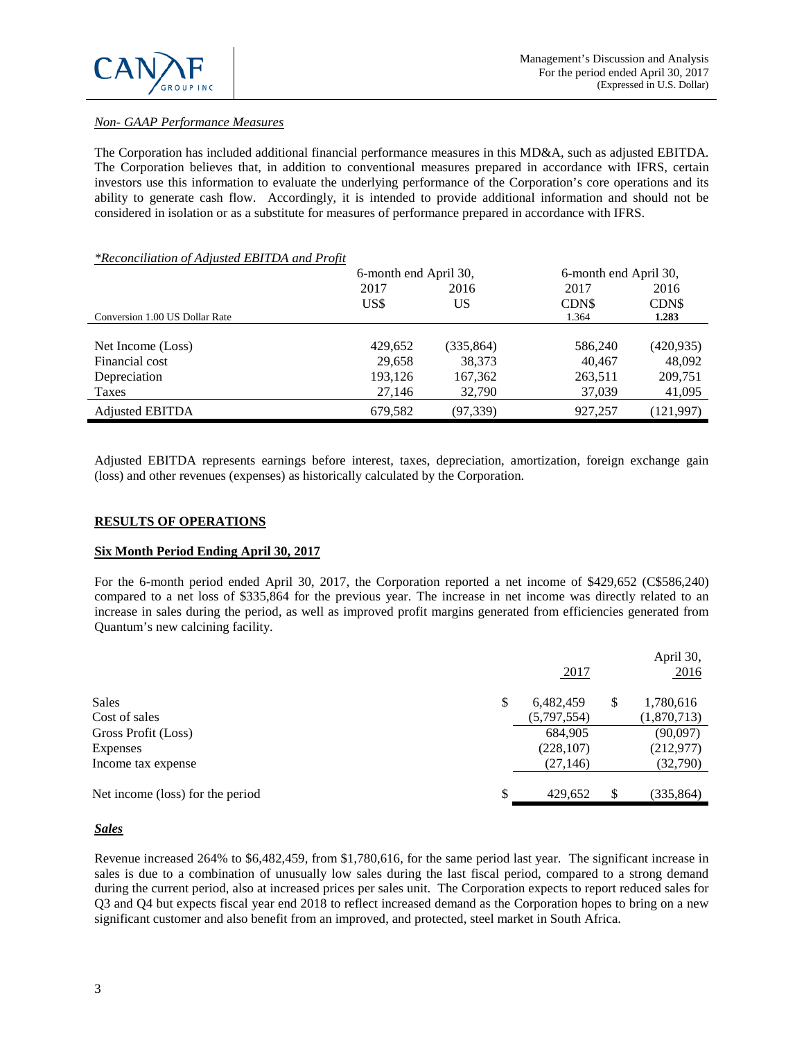

# *Non- GAAP Performance Measures*

The Corporation has included additional financial performance measures in this MD&A, such as adjusted EBITDA. The Corporation believes that, in addition to conventional measures prepared in accordance with IFRS, certain investors use this information to evaluate the underlying performance of the Corporation's core operations and its ability to generate cash flow. Accordingly, it is intended to provide additional information and should not be considered in isolation or as a substitute for measures of performance prepared in accordance with IFRS.

## *\*Reconciliation of Adjusted EBITDA and Profit*

|                                | 6-month end April 30, |            | 6-month end April 30, |            |
|--------------------------------|-----------------------|------------|-----------------------|------------|
|                                | 2017                  | 2016       | 2017                  | 2016       |
|                                | US\$                  | US         | CDN\$                 | CDN\$      |
| Conversion 1.00 US Dollar Rate |                       |            | 1.364                 | 1.283      |
|                                |                       |            |                       |            |
| Net Income (Loss)              | 429,652               | (335, 864) | 586,240               | (420, 935) |
| Financial cost                 | 29,658                | 38,373     | 40.467                | 48,092     |
| Depreciation                   | 193,126               | 167,362    | 263,511               | 209,751    |
| Taxes                          | 27,146                | 32,790     | 37,039                | 41,095     |
| <b>Adjusted EBITDA</b>         | 679,582               | (97, 339)  | 927,257               | (121,997)  |

Adjusted EBITDA represents earnings before interest, taxes, depreciation, amortization, foreign exchange gain (loss) and other revenues (expenses) as historically calculated by the Corporation.

## **RESULTS OF OPERATIONS**

## **Six Month Period Ending April 30, 2017**

For the 6-month period ended April 30, 2017, the Corporation reported a net income of \$429,652 (C\$586,240) compared to a net loss of \$335,864 for the previous year. The increase in net income was directly related to an increase in sales during the period, as well as improved profit margins generated from efficiencies generated from Quantum's new calcining facility.

|                                  | 2017            |    | April 30,<br>2016 |
|----------------------------------|-----------------|----|-------------------|
| <b>Sales</b>                     | \$<br>6,482,459 | S  | 1,780,616         |
| Cost of sales                    | (5,797,554)     |    | (1,870,713)       |
| Gross Profit (Loss)              | 684,905         |    | (90,097)          |
| Expenses                         | (228, 107)      |    | (212, 977)        |
| Income tax expense               | (27, 146)       |    | (32,790)          |
| Net income (loss) for the period | \$<br>429.652   | \$ | (335, 864)        |

#### *Sales*

Revenue increased 264% to \$6,482,459, from \$1,780,616, for the same period last year. The significant increase in sales is due to a combination of unusually low sales during the last fiscal period, compared to a strong demand during the current period, also at increased prices per sales unit. The Corporation expects to report reduced sales for Q3 and Q4 but expects fiscal year end 2018 to reflect increased demand as the Corporation hopes to bring on a new significant customer and also benefit from an improved, and protected, steel market in South Africa.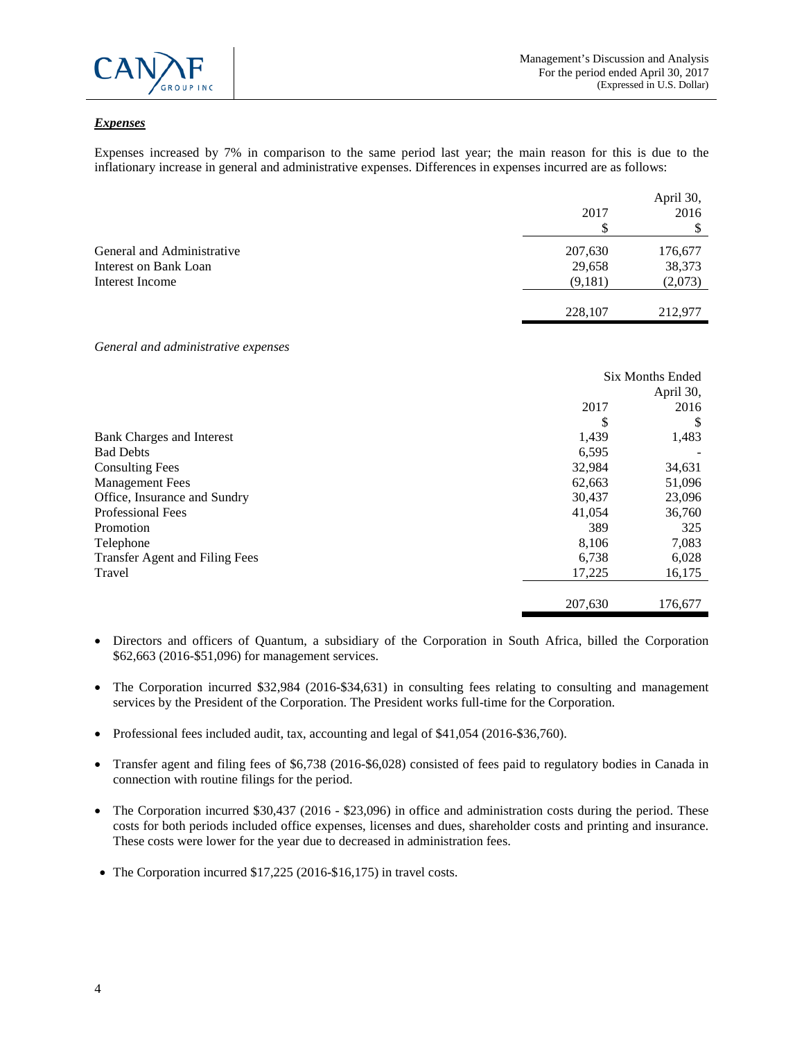

# *Expenses*

Expenses increased by 7% in comparison to the same period last year; the main reason for this is due to the inflationary increase in general and administrative expenses. Differences in expenses incurred are as follows:

|                            | 2017    | April 30,<br>2016 |
|----------------------------|---------|-------------------|
| General and Administrative | 207,630 | 176,677           |
| Interest on Bank Loan      | 29,658  | 38,373            |
| Interest Income            | (9,181) | (2,073)           |
|                            | 228,107 | 212,977           |

#### *General and administrative expenses*

|                                       | Six Months Ended |           |
|---------------------------------------|------------------|-----------|
|                                       |                  | April 30, |
|                                       | 2017             | 2016      |
|                                       | \$               | S         |
| <b>Bank Charges and Interest</b>      | 1,439            | 1,483     |
| <b>Bad Debts</b>                      | 6,595            |           |
| <b>Consulting Fees</b>                | 32,984           | 34,631    |
| <b>Management Fees</b>                | 62,663           | 51,096    |
| Office, Insurance and Sundry          | 30,437           | 23,096    |
| <b>Professional Fees</b>              | 41,054           | 36,760    |
| Promotion                             | 389              | 325       |
| Telephone                             | 8,106            | 7,083     |
| <b>Transfer Agent and Filing Fees</b> | 6,738            | 6,028     |
| Travel                                | 17,225           | 16,175    |
|                                       |                  |           |
|                                       | 207,630          | 176,677   |

- Directors and officers of Quantum, a subsidiary of the Corporation in South Africa, billed the Corporation \$62,663 (2016-\$51,096) for management services.
- The Corporation incurred \$32,984 (2016-\$34,631) in consulting fees relating to consulting and management services by the President of the Corporation. The President works full-time for the Corporation.
- Professional fees included audit, tax, accounting and legal of \$41,054 (2016-\$36,760).
- Transfer agent and filing fees of \$6,738 (2016-\$6,028) consisted of fees paid to regulatory bodies in Canada in connection with routine filings for the period.
- The Corporation incurred \$30,437 (2016 \$23,096) in office and administration costs during the period. These costs for both periods included office expenses, licenses and dues, shareholder costs and printing and insurance. These costs were lower for the year due to decreased in administration fees.
- The Corporation incurred \$17,225 (2016-\$16,175) in travel costs.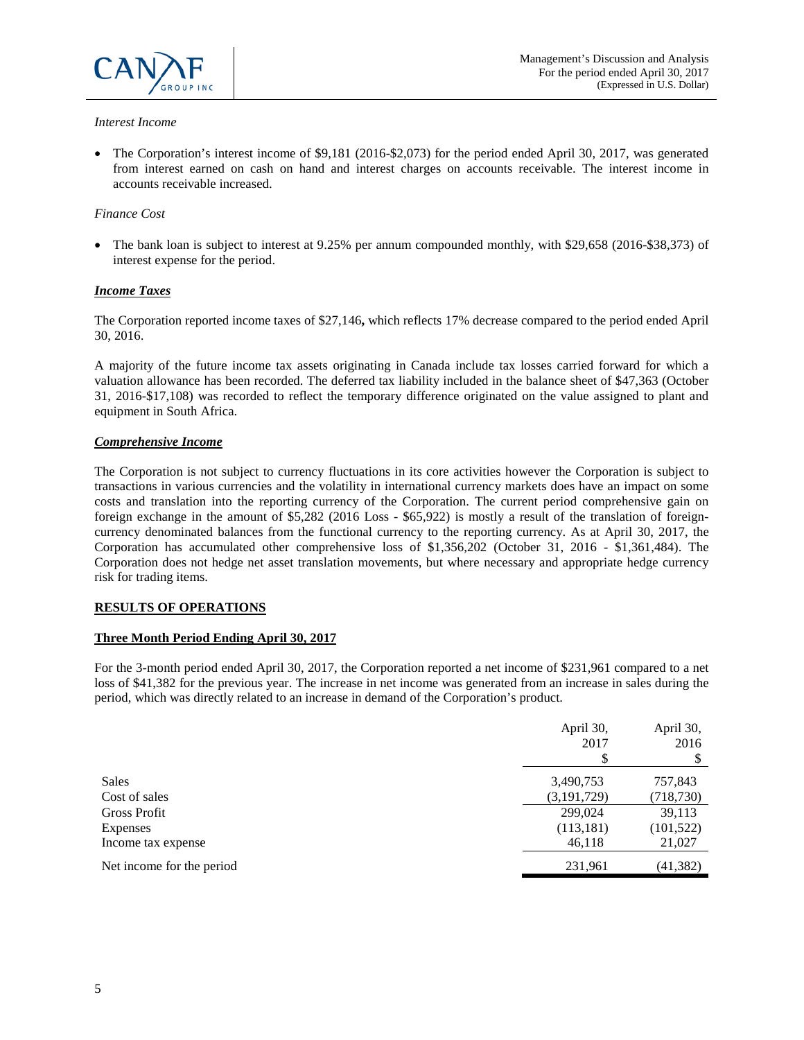

#### *Interest Income*

• The Corporation's interest income of \$9,181 (2016-\$2,073) for the period ended April 30, 2017, was generated from interest earned on cash on hand and interest charges on accounts receivable. The interest income in accounts receivable increased.

#### *Finance Cost*

• The bank loan is subject to interest at 9.25% per annum compounded monthly, with \$29,658 (2016-\$38,373) of interest expense for the period.

#### *Income Taxes*

The Corporation reported income taxes of \$27,146**,** which reflects 17% decrease compared to the period ended April 30, 2016.

A majority of the future income tax assets originating in Canada include tax losses carried forward for which a valuation allowance has been recorded. The deferred tax liability included in the balance sheet of \$47,363 (October 31, 2016-\$17,108) was recorded to reflect the temporary difference originated on the value assigned to plant and equipment in South Africa.

#### *Comprehensive Income*

The Corporation is not subject to currency fluctuations in its core activities however the Corporation is subject to transactions in various currencies and the volatility in international currency markets does have an impact on some costs and translation into the reporting currency of the Corporation. The current period comprehensive gain on foreign exchange in the amount of \$5,282 (2016 Loss - \$65,922) is mostly a result of the translation of foreigncurrency denominated balances from the functional currency to the reporting currency. As at April 30, 2017, the Corporation has accumulated other comprehensive loss of \$1,356,202 (October 31, 2016 - \$1,361,484). The Corporation does not hedge net asset translation movements, but where necessary and appropriate hedge currency risk for trading items.

## **RESULTS OF OPERATIONS**

#### **Three Month Period Ending April 30, 2017**

For the 3-month period ended April 30, 2017, the Corporation reported a net income of \$231,961 compared to a net loss of \$41,382 for the previous year. The increase in net income was generated from an increase in sales during the period, which was directly related to an increase in demand of the Corporation's product.

|                           | April 30,<br>2017 | April 30,<br>2016 |
|---------------------------|-------------------|-------------------|
| Sales                     | 3,490,753         | 757,843           |
| Cost of sales             | (3, 191, 729)     | (718, 730)        |
| Gross Profit              | 299,024           | 39,113            |
| Expenses                  | (113, 181)        | (101, 522)        |
| Income tax expense        | 46,118            | 21,027            |
| Net income for the period | 231,961           | (41, 382)         |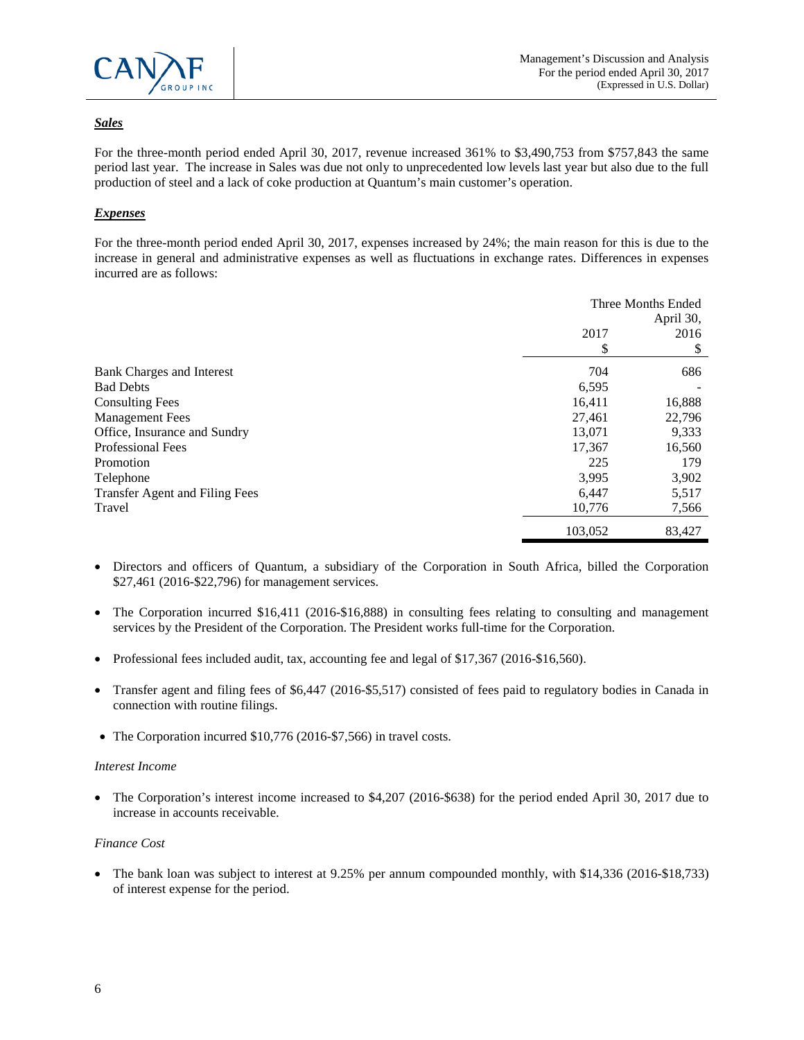

# *Sales*

For the three-month period ended April 30, 2017, revenue increased 361% to \$3,490,753 from \$757,843 the same period last year. The increase in Sales was due not only to unprecedented low levels last year but also due to the full production of steel and a lack of coke production at Quantum's main customer's operation.

# *Expenses*

For the three-month period ended April 30, 2017, expenses increased by 24%; the main reason for this is due to the increase in general and administrative expenses as well as fluctuations in exchange rates. Differences in expenses incurred are as follows:

|                                       | Three Months Ended<br>April 30, |        |
|---------------------------------------|---------------------------------|--------|
|                                       | 2017                            | 2016   |
|                                       | \$                              | \$     |
| Bank Charges and Interest             | 704                             | 686    |
| <b>Bad Debts</b>                      | 6,595                           |        |
| <b>Consulting Fees</b>                | 16,411                          | 16,888 |
| <b>Management Fees</b>                | 27,461                          | 22,796 |
| Office, Insurance and Sundry          | 13,071                          | 9,333  |
| Professional Fees                     | 17,367                          | 16,560 |
| Promotion                             | 225                             | 179    |
| Telephone                             | 3,995                           | 3,902  |
| <b>Transfer Agent and Filing Fees</b> | 6,447                           | 5,517  |
| Travel                                | 10,776                          | 7,566  |
|                                       | 103,052                         | 83,427 |

- Directors and officers of Quantum, a subsidiary of the Corporation in South Africa, billed the Corporation \$27,461 (2016-\$22,796) for management services.
- The Corporation incurred \$16,411 (2016-\$16,888) in consulting fees relating to consulting and management services by the President of the Corporation. The President works full-time for the Corporation.
- Professional fees included audit, tax, accounting fee and legal of \$17,367 (2016-\$16,560).
- Transfer agent and filing fees of \$6,447 (2016-\$5,517) consisted of fees paid to regulatory bodies in Canada in connection with routine filings.
- The Corporation incurred \$10,776 (2016-\$7,566) in travel costs.

#### *Interest Income*

• The Corporation's interest income increased to \$4,207 (2016-\$638) for the period ended April 30, 2017 due to increase in accounts receivable.

## *Finance Cost*

• The bank loan was subject to interest at 9.25% per annum compounded monthly, with \$14,336 (2016-\$18,733) of interest expense for the period.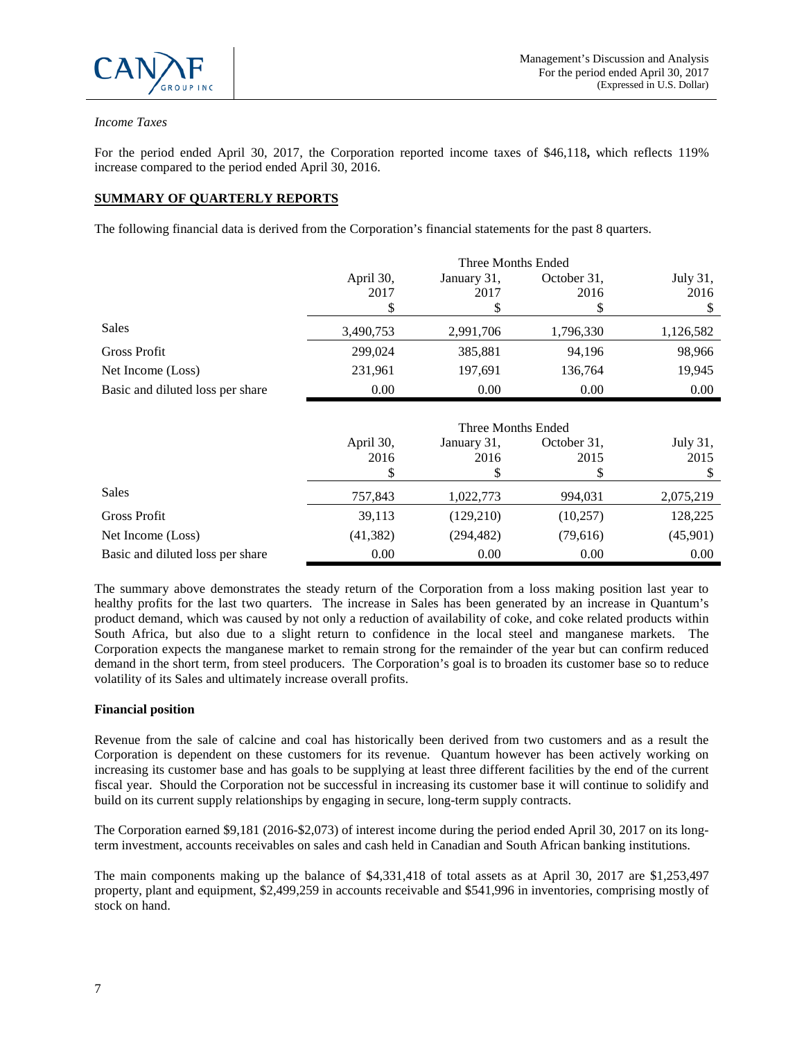

## *Income Taxes*

For the period ended April 30, 2017, the Corporation reported income taxes of \$46,118**,** which reflects 119% increase compared to the period ended April 30, 2016.

# **SUMMARY OF QUARTERLY REPORTS**

The following financial data is derived from the Corporation's financial statements for the past 8 quarters.

|                                  | Three Months Ended |             |             |           |
|----------------------------------|--------------------|-------------|-------------|-----------|
|                                  | April 30,          | January 31, | October 31, | July 31,  |
|                                  | 2017               | 2017        | 2016        | 2016      |
|                                  |                    |             |             |           |
| <b>Sales</b>                     | 3,490,753          | 2,991,706   | 1,796,330   | 1,126,582 |
| Gross Profit                     | 299,024            | 385,881     | 94,196      | 98,966    |
| Net Income (Loss)                | 231,961            | 197,691     | 136,764     | 19,945    |
| Basic and diluted loss per share | 0.00               | 0.00        | 0.00        | 0.00      |
|                                  |                    |             |             |           |

|                                  | Three Months Ended |             |             |           |
|----------------------------------|--------------------|-------------|-------------|-----------|
|                                  | April 30,          | January 31, | October 31, | July 31,  |
|                                  | 2016               | 2016        | 2015        | 2015      |
|                                  |                    |             | \$          |           |
| <b>Sales</b>                     | 757,843            | 1,022,773   | 994,031     | 2,075,219 |
| Gross Profit                     | 39,113             | (129,210)   | (10,257)    | 128,225   |
| Net Income (Loss)                | (41, 382)          | (294, 482)  | (79,616)    | (45,901)  |
| Basic and diluted loss per share | 0.00               | 0.00        | 0.00        | 0.00      |

The summary above demonstrates the steady return of the Corporation from a loss making position last year to healthy profits for the last two quarters. The increase in Sales has been generated by an increase in Quantum's product demand, which was caused by not only a reduction of availability of coke, and coke related products within South Africa, but also due to a slight return to confidence in the local steel and manganese markets. The Corporation expects the manganese market to remain strong for the remainder of the year but can confirm reduced demand in the short term, from steel producers. The Corporation's goal is to broaden its customer base so to reduce volatility of its Sales and ultimately increase overall profits.

#### **Financial position**

Revenue from the sale of calcine and coal has historically been derived from two customers and as a result the Corporation is dependent on these customers for its revenue. Quantum however has been actively working on increasing its customer base and has goals to be supplying at least three different facilities by the end of the current fiscal year. Should the Corporation not be successful in increasing its customer base it will continue to solidify and build on its current supply relationships by engaging in secure, long-term supply contracts.

The Corporation earned \$9,181 (2016-\$2,073) of interest income during the period ended April 30, 2017 on its longterm investment, accounts receivables on sales and cash held in Canadian and South African banking institutions.

The main components making up the balance of \$4,331,418 of total assets as at April 30, 2017 are \$1,253,497 property, plant and equipment, \$2,499,259 in accounts receivable and \$541,996 in inventories, comprising mostly of stock on hand.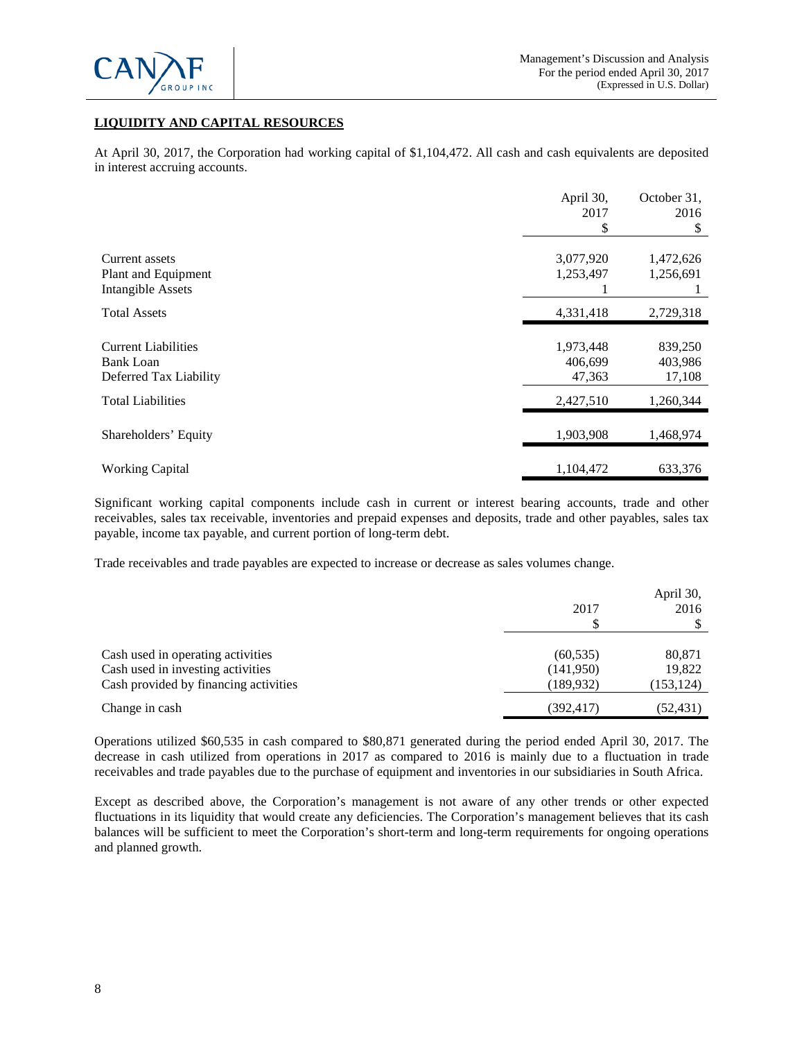

# **LIQUIDITY AND CAPITAL RESOURCES**

At April 30, 2017, the Corporation had working capital of \$1,104,472. All cash and cash equivalents are deposited in interest accruing accounts.

|                            | April 30, | October 31, |
|----------------------------|-----------|-------------|
|                            | 2017      | 2016        |
|                            | S         | S           |
| Current assets             | 3,077,920 | 1,472,626   |
| Plant and Equipment        | 1,253,497 | 1,256,691   |
| <b>Intangible Assets</b>   |           |             |
| <b>Total Assets</b>        | 4,331,418 | 2,729,318   |
|                            |           |             |
| <b>Current Liabilities</b> | 1,973,448 | 839,250     |
| <b>Bank Loan</b>           | 406,699   | 403,986     |
| Deferred Tax Liability     | 47,363    | 17,108      |
| <b>Total Liabilities</b>   | 2,427,510 | 1,260,344   |
| Shareholders' Equity       | 1,903,908 | 1,468,974   |
| <b>Working Capital</b>     | 1,104,472 | 633,376     |
|                            |           |             |

Significant working capital components include cash in current or interest bearing accounts, trade and other receivables, sales tax receivable, inventories and prepaid expenses and deposits, trade and other payables, sales tax payable, income tax payable, and current portion of long-term debt.

Trade receivables and trade payables are expected to increase or decrease as sales volumes change.

|                                       | 2017       | April 30,<br>2016 |
|---------------------------------------|------------|-------------------|
| Cash used in operating activities     | (60, 535)  | 80,871            |
| Cash used in investing activities     | (141,950)  | 19,822            |
| Cash provided by financing activities | (189,932)  | (153, 124)        |
| Change in cash                        | (392, 417) | (52,431)          |

Operations utilized \$60,535 in cash compared to \$80,871 generated during the period ended April 30, 2017. The decrease in cash utilized from operations in 2017 as compared to 2016 is mainly due to a fluctuation in trade receivables and trade payables due to the purchase of equipment and inventories in our subsidiaries in South Africa.

Except as described above, the Corporation's management is not aware of any other trends or other expected fluctuations in its liquidity that would create any deficiencies. The Corporation's management believes that its cash balances will be sufficient to meet the Corporation's short-term and long-term requirements for ongoing operations and planned growth.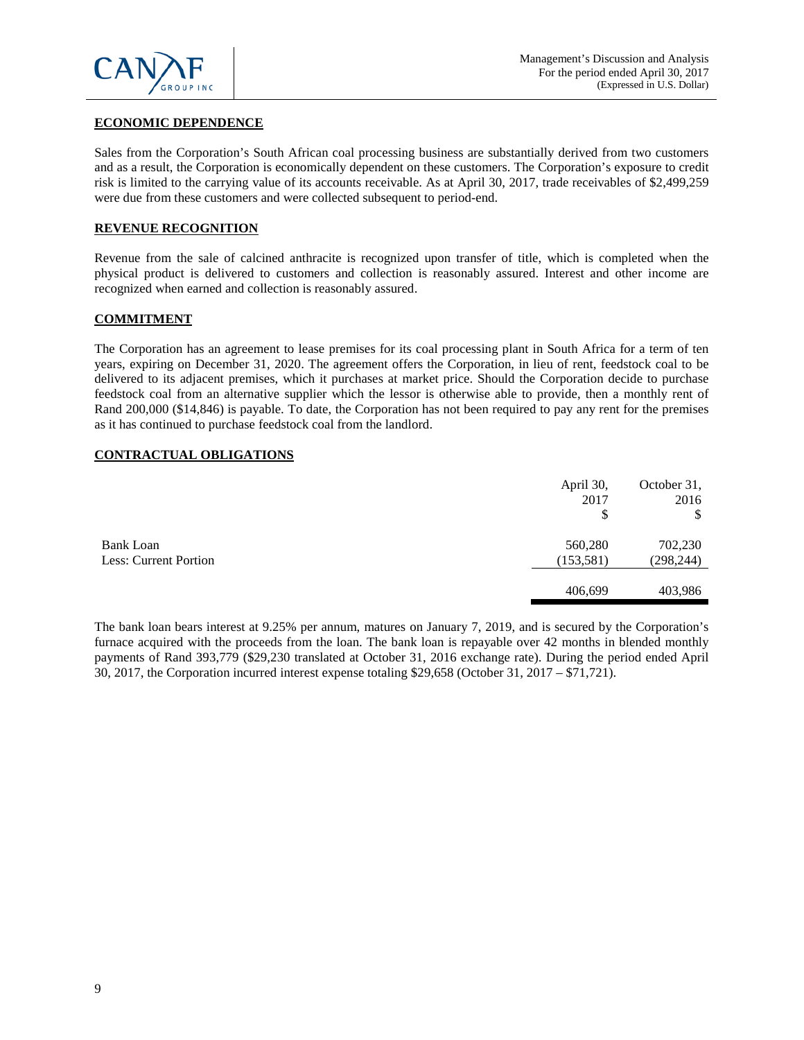

## **ECONOMIC DEPENDENCE**

Sales from the Corporation's South African coal processing business are substantially derived from two customers and as a result, the Corporation is economically dependent on these customers. The Corporation's exposure to credit risk is limited to the carrying value of its accounts receivable. As at April 30, 2017, trade receivables of \$2,499,259 were due from these customers and were collected subsequent to period-end.

#### **REVENUE RECOGNITION**

Revenue from the sale of calcined anthracite is recognized upon transfer of title, which is completed when the physical product is delivered to customers and collection is reasonably assured. Interest and other income are recognized when earned and collection is reasonably assured.

#### **COMMITMENT**

The Corporation has an agreement to lease premises for its coal processing plant in South Africa for a term of ten years, expiring on December 31, 2020. The agreement offers the Corporation, in lieu of rent, feedstock coal to be delivered to its adjacent premises, which it purchases at market price. Should the Corporation decide to purchase feedstock coal from an alternative supplier which the lessor is otherwise able to provide, then a monthly rent of Rand 200,000 (\$14,846) is payable. To date, the Corporation has not been required to pay any rent for the premises as it has continued to purchase feedstock coal from the landlord.

#### **CONTRACTUAL OBLIGATIONS**

|                       | April 30,<br>2017<br>\$ | October 31,<br>2016<br>\$ |
|-----------------------|-------------------------|---------------------------|
| Bank Loan             | 560,280                 | 702,230                   |
| Less: Current Portion | (153, 581)              | (298, 244)                |
|                       |                         |                           |
|                       | 406,699                 | 403,986                   |

The bank loan bears interest at 9.25% per annum, matures on January 7, 2019, and is secured by the Corporation's furnace acquired with the proceeds from the loan. The bank loan is repayable over 42 months in blended monthly payments of Rand 393,779 (\$29,230 translated at October 31, 2016 exchange rate). During the period ended April 30, 2017, the Corporation incurred interest expense totaling \$29,658 (October 31, 2017 – \$71,721).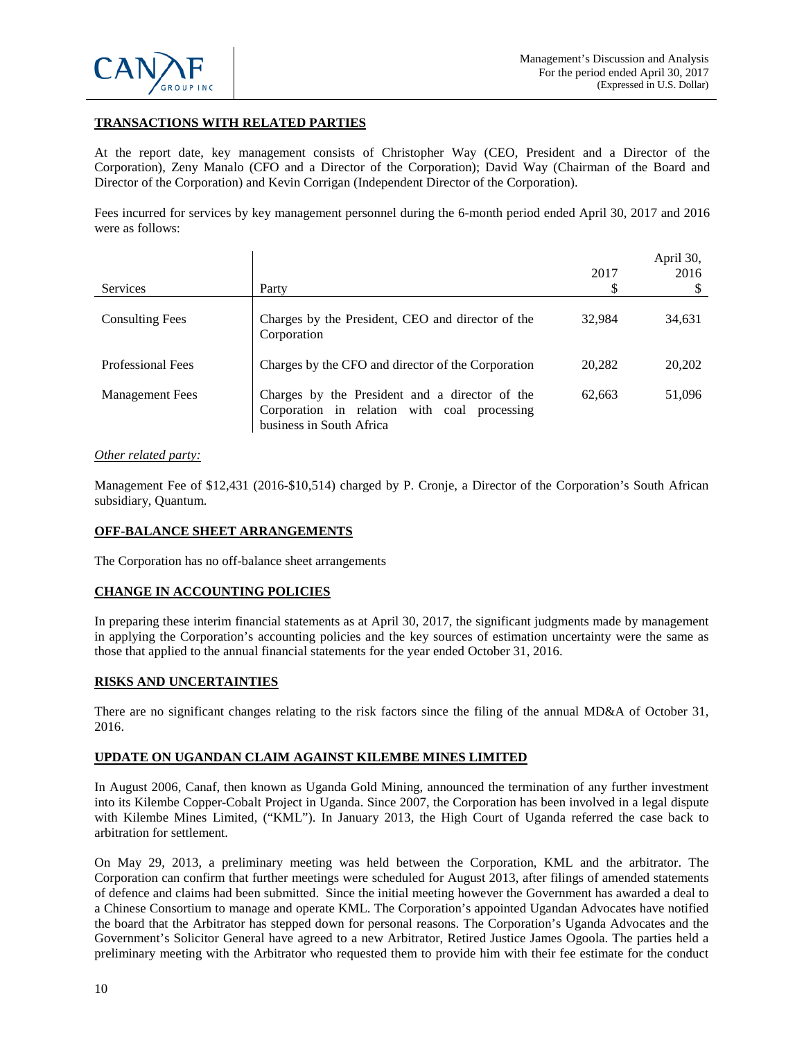

# **TRANSACTIONS WITH RELATED PARTIES**

At the report date, key management consists of Christopher Way (CEO, President and a Director of the Corporation), Zeny Manalo (CFO and a Director of the Corporation); David Way (Chairman of the Board and Director of the Corporation) and Kevin Corrigan (Independent Director of the Corporation).

Fees incurred for services by key management personnel during the 6-month period ended April 30, 2017 and 2016 were as follows:

| <b>Services</b>          | Party                                                                                                                      | 2017   | April 30,<br>2016 |
|--------------------------|----------------------------------------------------------------------------------------------------------------------------|--------|-------------------|
| <b>Consulting Fees</b>   | Charges by the President, CEO and director of the<br>Corporation                                                           | 32,984 | 34,631            |
| <b>Professional Fees</b> | Charges by the CFO and director of the Corporation                                                                         | 20,282 | 20,202            |
| <b>Management Fees</b>   | Charges by the President and a director of the<br>Corporation in relation with coal processing<br>business in South Africa | 62,663 | 51,096            |

## *Other related party:*

Management Fee of \$12,431 (2016-\$10,514) charged by P. Cronje, a Director of the Corporation's South African subsidiary, Quantum.

## **OFF-BALANCE SHEET ARRANGEMENTS**

The Corporation has no off-balance sheet arrangements

## **CHANGE IN ACCOUNTING POLICIES**

In preparing these interim financial statements as at April 30, 2017, the significant judgments made by management in applying the Corporation's accounting policies and the key sources of estimation uncertainty were the same as those that applied to the annual financial statements for the year ended October 31, 2016.

## **RISKS AND UNCERTAINTIES**

There are no significant changes relating to the risk factors since the filing of the annual MD&A of October 31, 2016.

## **UPDATE ON UGANDAN CLAIM AGAINST KILEMBE MINES LIMITED**

In August 2006, Canaf, then known as Uganda Gold Mining, announced the termination of any further investment into its Kilembe Copper-Cobalt Project in Uganda. Since 2007, the Corporation has been involved in a legal dispute with Kilembe Mines Limited, ("KML"). In January 2013, the High Court of Uganda referred the case back to arbitration for settlement.

On May 29, 2013, a preliminary meeting was held between the Corporation, KML and the arbitrator. The Corporation can confirm that further meetings were scheduled for August 2013, after filings of amended statements of defence and claims had been submitted. Since the initial meeting however the Government has awarded a deal to a Chinese Consortium to manage and operate KML. The Corporation's appointed Ugandan Advocates have notified the board that the Arbitrator has stepped down for personal reasons. The Corporation's Uganda Advocates and the Government's Solicitor General have agreed to a new Arbitrator, Retired Justice James Ogoola. The parties held a preliminary meeting with the Arbitrator who requested them to provide him with their fee estimate for the conduct